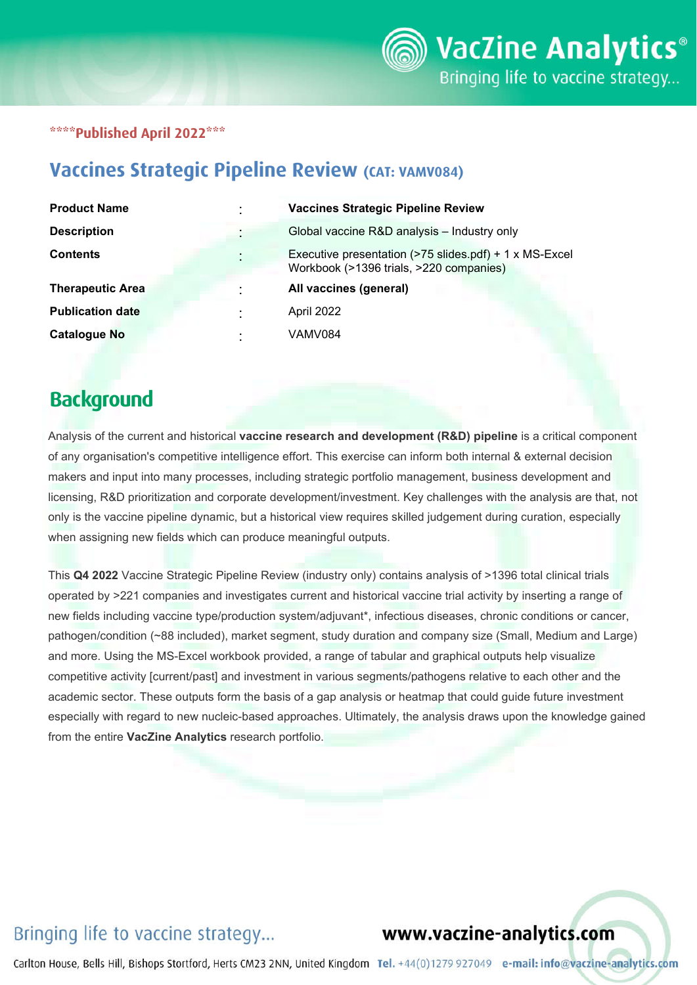### \*\*\*\*Published April 2022\*\*\*

## Vaccines Strategic Pipeline Review (CAT: VAMV084)

| <b>Product Name</b>     | $\blacksquare$      | <b>Vaccines Strategic Pipeline Review</b>                                                         |
|-------------------------|---------------------|---------------------------------------------------------------------------------------------------|
| <b>Description</b>      |                     | Global vaccine R&D analysis - Industry only                                                       |
| <b>Contents</b>         | ٠<br>$\blacksquare$ | Executive presentation (>75 slides.pdf) + 1 x MS-Excel<br>Workbook (>1396 trials, >220 companies) |
| <b>Therapeutic Area</b> | ٠                   | All vaccines (general)                                                                            |
| <b>Publication date</b> | ٠                   | April 2022                                                                                        |
| <b>Catalogue No</b>     | ٠<br>٠              | VAMV084                                                                                           |

# **Background**

Analysis of the current and historical **vaccine research and development (R&D) pipeline** is a critical component of any organisation's competitive intelligence effort. This exercise can inform both internal & external decision makers and input into many processes, including strategic portfolio management, business development and licensing, R&D prioritization and corporate development/investment. Key challenges with the analysis are that, not only is the vaccine pipeline dynamic, but a historical view requires skilled judgement during curation, especially when assigning new fields which can produce meaningful outputs.

This **Q4 2022** Vaccine Strategic Pipeline Review (industry only) contains analysis of >1396 total clinical trials operated by >221 companies and investigates current and historical vaccine trial activity by inserting a range of new fields including vaccine type/production system/adjuvant\*, infectious diseases, chronic conditions or cancer, pathogen/condition (~88 included), market segment, study duration and company size (Small, Medium and Large) and more. Using the MS-Excel workbook provided, a range of tabular and graphical outputs help visualize competitive activity [current/past] and investment in various segments/pathogens relative to each other and the academic sector. These outputs form the basis of a gap analysis or heatmap that could guide future investment especially with regard to new nucleic-based approaches. Ultimately, the analysis draws upon the knowledge gained from the entire **VacZine Analytics** research portfolio.

## Bringing life to vaccine strategy...

### www.vaczine-analytics.com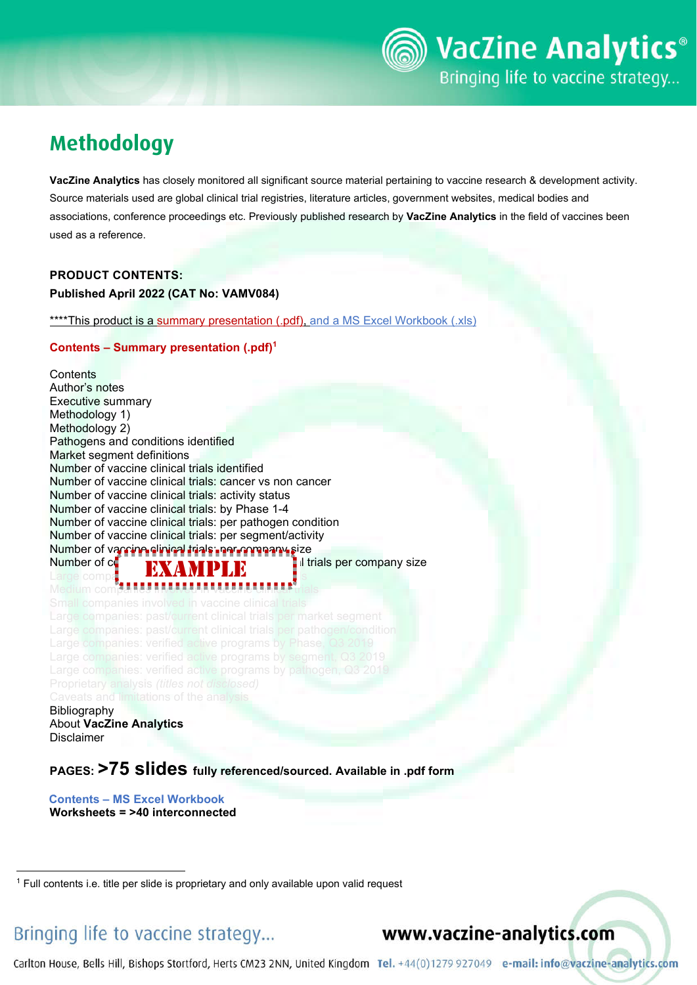# Methodology

**VacZine Analytics** has closely monitored all significant source material pertaining to vaccine research & development activity. Source materials used are global clinical trial registries, literature articles, government websites, medical bodies and associations, conference proceedings etc. Previously published research by **VacZine Analytics** in the field of vaccines been used as a reference.

### **PRODUCT CONTENTS: Published April 2022 (CAT No: VAMV084)**

\*\*\*\*This product is a summary presentation (.pdf), and a MS Excel Workbook (.xls)

#### **Contents – Summary presentation (.pdf)1**

**Contents** Author's notes Executive summary Methodology 1) Methodology 2) Pathogens and conditions identified Market segment definitions Number of vaccine clinical trials identified Number of vaccine clinical trials: cancer vs non cancer Number of vaccine clinical trials: activity status Number of vaccine clinical trials: by Phase 1-4 Number of vaccine clinical trials: per pathogen condition Number of vaccine clinical trials: per segment/activity Number of vaccine clinical trials: per segment active<br>Number of vaccine clinical trials: per company size<br>Number of company of the segment of the segment of the Number of  $c_0$  in vacanisation in vaccine in vaccine company size Large compa**nies in vaccine in vaccine companies in vaccine companies in vaccine companies in vaccine companies** Medium comp<del>anies involved in vaccine clinical</del> trials Bibliography About **VacZine Analytics**

```
Disclaimer
```
**PAGES: >75 slides fully referenced/sourced. Available in .pdf form**

 **Contents – MS Excel Workbook Worksheets = >40 interconnected**

## Bringing life to vaccine strategy...

www.vaczine-analytics.com

<sup>&</sup>lt;sup>1</sup> Full contents i.e. title per slide is proprietary and only available upon valid request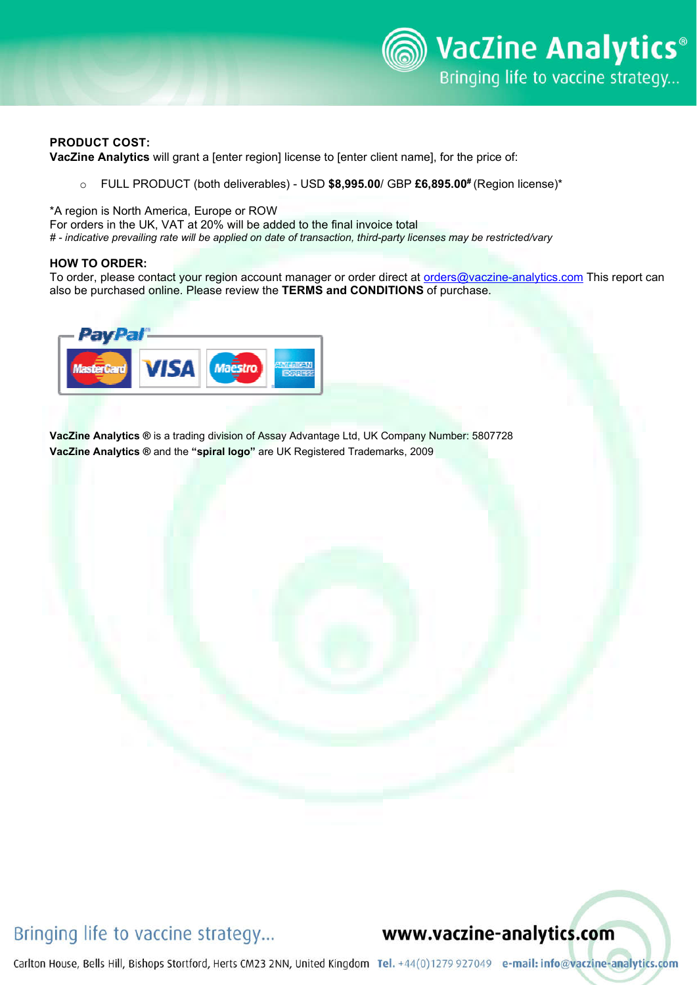

#### **PRODUCT COST:**

**VacZine Analytics** will grant a [enter region] license to [enter client name], for the price of:

o FULL PRODUCT (both deliverables) - USD **\$8,995.00**/ GBP **£6,895.00#** (Region license)\*

\*A region is North America, Europe or ROW

For orders in the UK, VAT at 20% will be added to the final invoice total

*# - indicative prevailing rate will be applied on date of transaction, third-party licenses may be restricted/vary*

#### **HOW TO ORDER:**

To order, please contact your region account manager or order direct at orders@vaczine-analytics.com This report can also be purchased online. Please review the **TERMS and CONDITIONS** of purchase.



**VacZine Analytics ®** is a trading division of Assay Advantage Ltd, UK Company Number: 5807728 **VacZine Analytics ®** and the **"spiral logo"** are UK Registered Trademarks, 2009

### Bringing life to vaccine strategy...

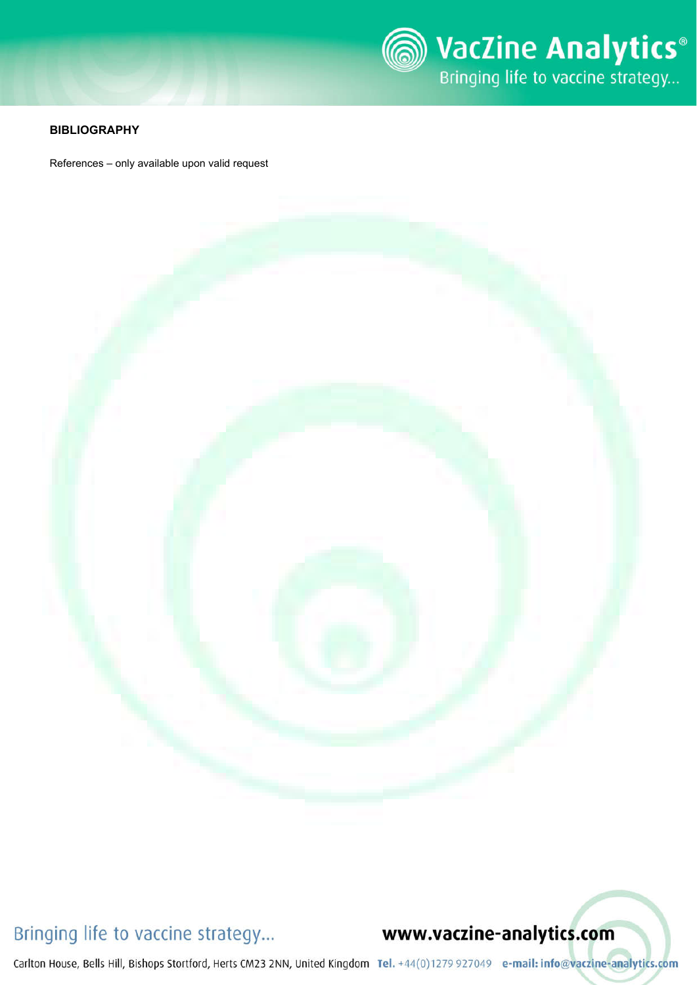

### **BIBLIOGRAPHY**

References – only available upon valid request



## Bringing life to vaccine strategy...

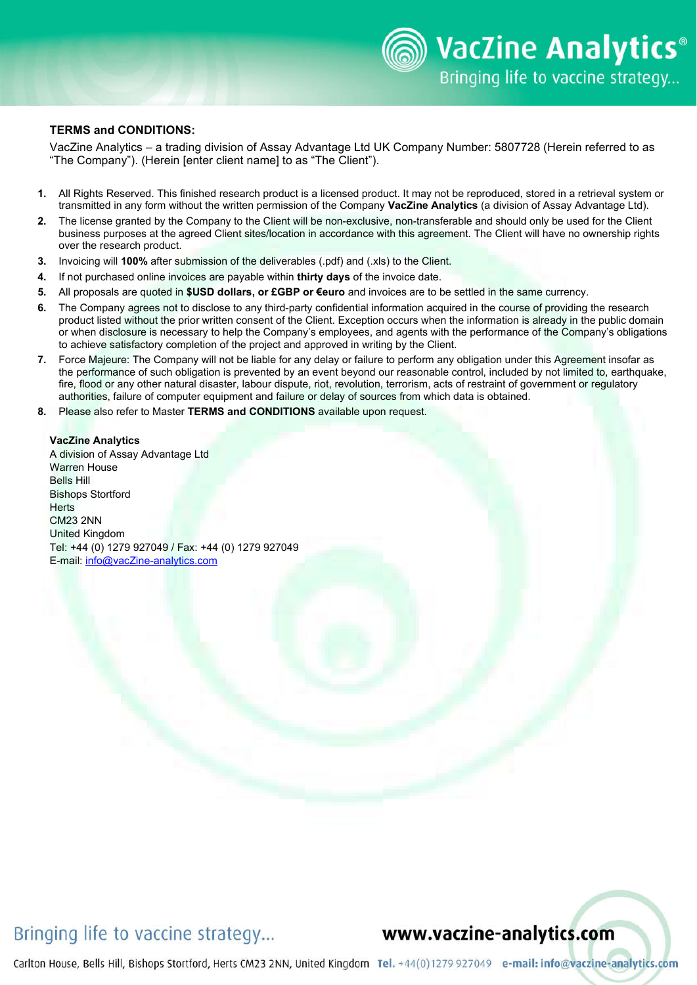#### **TERMS and CONDITIONS:**

VacZine Analytics – a trading division of Assay Advantage Ltd UK Company Number: 5807728 (Herein referred to as "The Company"). (Herein [enter client name] to as "The Client").

- **1.** All Rights Reserved. This finished research product is a licensed product. It may not be reproduced, stored in a retrieval system or transmitted in any form without the written permission of the Company **VacZine Analytics** (a division of Assay Advantage Ltd).
- **2.** The license granted by the Company to the Client will be non-exclusive, non-transferable and should only be used for the Client business purposes at the agreed Client sites/location in accordance with this agreement. The Client will have no ownership rights over the research product.
- **3.** Invoicing will **100%** after submission of the deliverables (.pdf) and (.xls) to the Client.
- **4.** If not purchased online invoices are payable within **thirty days** of the invoice date.
- **5.** All proposals are quoted in **\$USD dollars, or £GBP or €euro** and invoices are to be settled in the same currency.
- **6.** The Company agrees not to disclose to any third-party confidential information acquired in the course of providing the research product listed without the prior written consent of the Client. Exception occurs when the information is already in the public domain or when disclosure is necessary to help the Company's employees, and agents with the performance of the Company's obligations to achieve satisfactory completion of the project and approved in writing by the Client.
- **7.** Force Majeure: The Company will not be liable for any delay or failure to perform any obligation under this Agreement insofar as the performance of such obligation is prevented by an event beyond our reasonable control, included by not limited to, earthquake, fire, flood or any other natural disaster, labour dispute, riot, revolution, terrorism, acts of restraint of government or regulatory authorities, failure of computer equipment and failure or delay of sources from which data is obtained.
- **8.** Please also refer to Master **TERMS and CONDITIONS** available upon request.

#### **VacZine Analytics**

A division of Assay Advantage Ltd Warren House Bells Hill Bishops Stortford **Herts** CM23 2NN United Kingdom Tel: +44 (0) 1279 927049 / Fax: +44 (0) 1279 927049 E-mail: info@vacZine-analytics.com

## Bringing life to vaccine strategy...